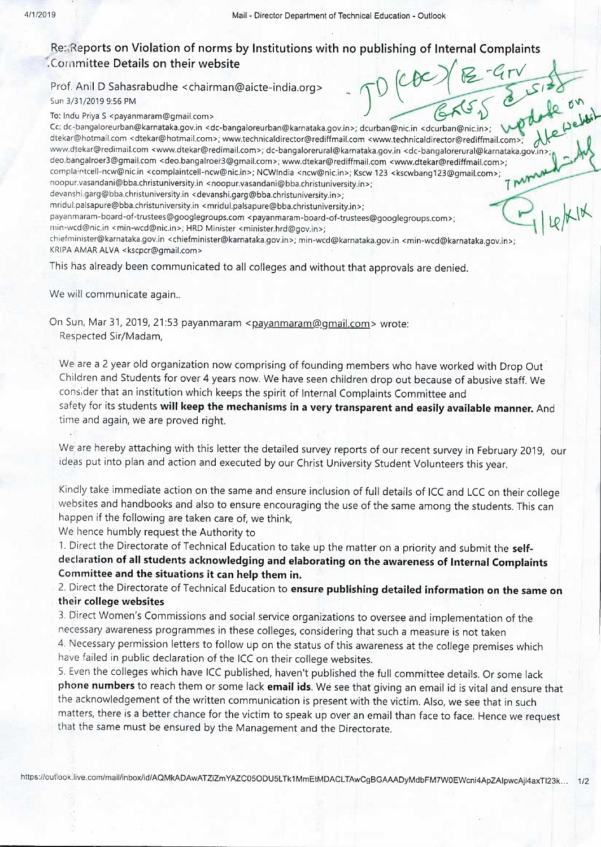*10*

*/,?* 

*A ~*   $\mathcal{L}$  *1* 

*\_·* **o·"'** 

**14.2** 

## **Re: Reports on Violation of norms by Institutions with no publishing of Internal Complaints .Committee Details on their website -** Feducation - Outlook<br>plishing of Internal Complaints<br>()  $\angle$  *CCC*  $\angle$  <del>B - G</del> r V Complaints<br>
- Gry<br>
& Size on<br>
& woderfe website

Prof. Anil D Sahasrabudhe <chairman@aicte-india.org> Sun 3/31/2019 9:56 PM :5 6 P M

To: lndu Priya S < p a ya nmaram@gmail.rnm> . . .

 $rac{1}{6\sqrt{5}}$ Cc: dc-bangaloreurban@karnataka.gov.in <dc-bangaloreurban@karnataka.gov.in>; dcurbanrenic.In <dcurbantipnic.in>: . \ ~ dtekar@hotmail.com <dtekar@hotmail.com>; www.technicaldirector@rediffmail.com <www.technicaldirector@rediffmail.com>;<br>www.dtekar@redimail.com <www.dtekar@redimail.com>; dc-bangalorerural@karnataka.gov.in <dc-bangalorerural deo.bangalroer3@gmail.com <deo.bangalroer3@gmail.com>; www.dtekar@rediffmail.com <www.dtekar@rediffmail.com>; complaintcell-ncw@nic.in <complaintcell-ncw@nic.in>; NCWIndia <ncw@nic.in>; Kscw 123 <kscwbang123@gmail.com>; noopur.vasandani@bba.christuniversity.in < noopur.vasandani@bba.christuniversity.in >; **T**  devanshi.garg@bba.christuniversity.in <devanshi.garg@bba.christuniversity.in>; mridul.palsapure@bba.christuniversity.in <mridul.palsapure@bba.christuniversity.in>; payanmaram-board-of-trustees@googlegroups.com <payanmaram-board-of-trustees@googlegroups.com>; 111in-wcd@nic.in <min-wcd@nic.in>; HRD Minister <minister.hrd@gov.in>; chiefminister@karnataka.gov.in <chiefminister@karnataka.gov.in>; min-wcd@karnataka.gov.in <min-wcd@karnataka.gov.in>; KRIPA AMAR ALVA <kscpcr@gmail.com> This has already been communicated to all colleges and without that approvals are denied.

We will communicate again..

On Sun, Mar 31, 2019, 21:53 payanmaram <payanmaram@gmail.com> wrote: Respected Sir/Madam,

We are a 2 year old organization now comprising of founding members who have worked with Drop Out Children and Students for over 4 years now. We have seen children drop out because of abusive staff. We consider that an institution which keeps the spirit of Internal Complaints Committee and safety for its students **will keep the mechanisms in a very transparent and easily available manner.** And time and again, we are proved right.

We; are hereby attaching with this letter the detailed survey reports of our recent survey in February 2019, our ideas put into plan and action and executed by our Christ University Student Volunteers this year.

Kindly take immediate action on the same and ensure inclusion of full details of ICC and LCC on their college websites and handbooks and also to ensure encouraging the use of the same among the students. This can happen if the following are taken care of, we think,

We hence humbly request the Authority to

1. Direct the Directorate of Technical Education to take up the matter on a priority and submit the **selfdeclaration of all students acknowledging and elaborating on the awareness of Internal Complaints Committee and the situations it can help them in.** 

2. Direct the Directorate of Technical Education to **ensure publishing detailed information on the same on their college websites** 

3. Direct Women's Commissions and social service organizations to oversee and implementation of the necessary awareness programmes in these colleges, considering that such a measure is not taken 4. Necessary permission letters to follow up on the status of this awareness at the college premises which have failed in public declaration of the ICC on their college websites.

5. Even the colleges which have ICC published, haven't published the full committee details. Or some lack **phone numbers** to reach them or some lack **email ids.** We see that giving an email id is vital and ensure that the acknowledgement of the written communication is present with the victim. Also, we see that in such matters, there is a better chance for the victim to speak up over an email than face to face. Hence we request that the same must be ensured by the Management and the Directorate.

https://outlook.live.com/mail/inbox/id/AQMkADAwATZiZmYAZC05ODU5LTk1MmEtMDACLTAwCgBGAAADyMdbFM7W0EWcni4ApZAIpwcAjl4axTl23k... 1/2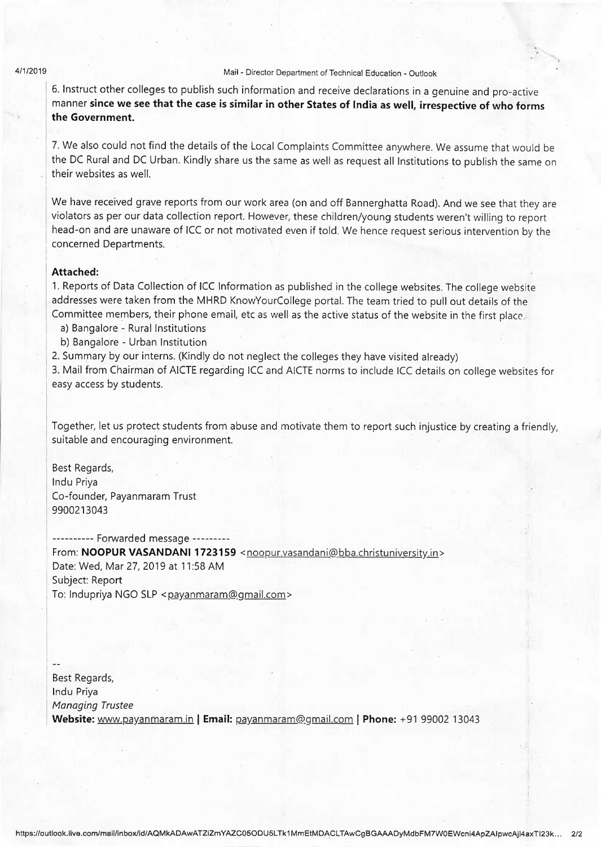## 4/1/2019 Mail - Director Department of Technical Education - Outlook

' '

6. Instruct other colleges to publish such information and receive declarations in a genuine and pro-active manner **since we see that the case is similar in other States of India as well, irrespective of who forms**  the Government.

7. We also could not find the details of the Local Complaints Committee anywhere. We assume that would be the DC Rural and DC Urban. Kindly share us the same as well as request all Institutions to publish the same on their websites as well.

We have received grave reports from our work area (on and off Bannerghatta Road). And we see that they are violators as per our data collection report. However, these children/young students weren't willing to report head-on and are unaware of ICC or not motivated even if told. We hence request serious intervention by the concerned Departments.

## **Attached:**

1. Reports of Data Collection of ICC Information as published in the college websites. The college website addresses were taken from the MHRD KnowYourCollege portal. The team tried to pull out details of the Committee members, their phone email, etc as well as the active status of the website in the first place.

- a) Bangalore Rural Institutions
- b) Bangalore Urban Institution
- 2. Summary by our interns. (Kindly do not neglect the colleges they have visited already)

3. Mail from Chairman of AICTE regarding ICC and AICTE norms to include ICC details on college websites for easy access by students.

Together, let us protect students from abuse and motivate them to report such injustice by creating a friendly, suitable and encouraging environment.

Best Regards, lndu Priya Co-founder, Payanmaram Trust 9900213043

---------- Forwarded message --------- From: **NOOPUR VASANDANI 1723159** <noopur.vasandani@bba.christuniversity.in> Date: Wed, Mar 27, 2019 at 11:58 AM Subject: Report To: Indupriya NGO SLP < payanmaram@gmail.com>

. .

 $\mathbb{R}$ Best Regards, Indu Priya Website: www.payanmaram.in | Email: payanmaram@gmail.com | Phone: +91 99002 13043 *Managing Trustee*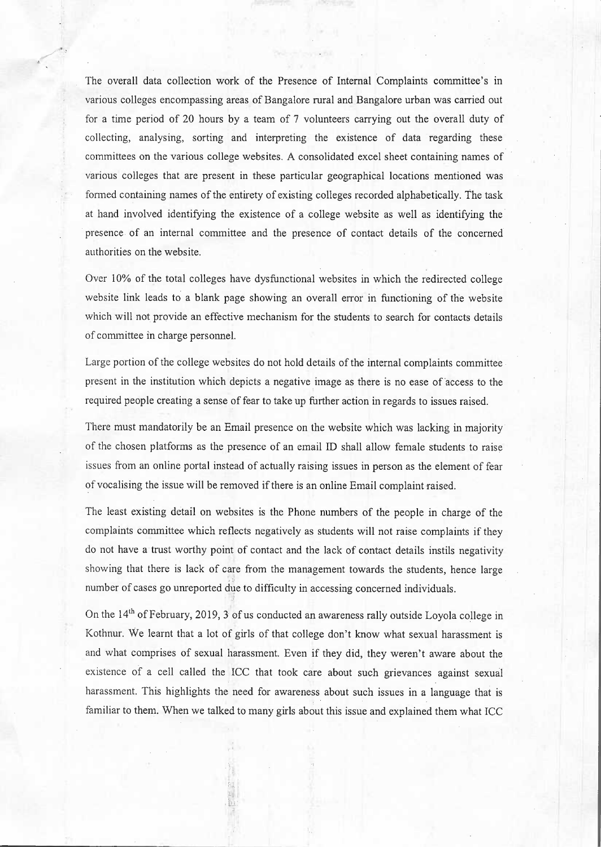The overall data collection work of the Presence of Internal Complaints committee's in various colleges encompassing areas of Bangalore rural and Bangalore urban was carried out for a time period of 20 hours by a team of 7 volunteers carrying out the overall duty of collecting, analysing, sorting and interpreting the existence of data regarding these committees on the various college websites. A consolidated excel sheet containing names of various colleges that are present in these particular geographical locations mentioned was formed containing names of the entirety of existing colleges recorded alphabetically. The task at hand involved identifying the existence of a college website as well as identifying the· presence of an internal committee and the presence of contact details of the concerned authorities on the website.

Over 10% of the total colleges have dysfunctional websites in which the redirected college website link leads to a blank page showing an overall error in functioning of the website which will not provide an effective mechanism for the students to search for contacts details of conunittee in charge personnel.

Large portion of the college websites do not hold details of the internal complaints committee . present in the institution which depicts a negative image as there is no ease of access to the required people creating a sense of fear to take up further action in regards to issues raised.

There must mandatorily be an Email presence on the website which was lacking in majority of the chosen platforms as the presence of an email ID shall allow female students to raise issues from an online portal instead of actually raising issues in person as the element of fear of vocalising the issue will be removed if there is an online Email complaint raised.

The least existing detail on websites is the Phone numbers of the people in charge of the complaints committee which reflects negatively as students will not raise complaints if they do not have a trust worthy point of contact and the lack of contact details instils negativity showing that there is lack of care from the management towards the students, hence large  $-24$ number of cases go unreported due to difficulty in accessing concerned individuals. "•

·'

On the 14<sup>th</sup> of February, 2019, 3 of us conducted an awareness rally outside Loyola college in Kothnur. We learnt that a lot of girls of that college don't know what sexual harassment is and what comprises of sexual harassment. Even if they did, they weren't aware about the existence of a cell called the ICC that took care about such grievances against sexual harassment. This highlights the need for awareness about such issues in a language that is familiar to them. When we talked to many girls about this issue and explained them what ICC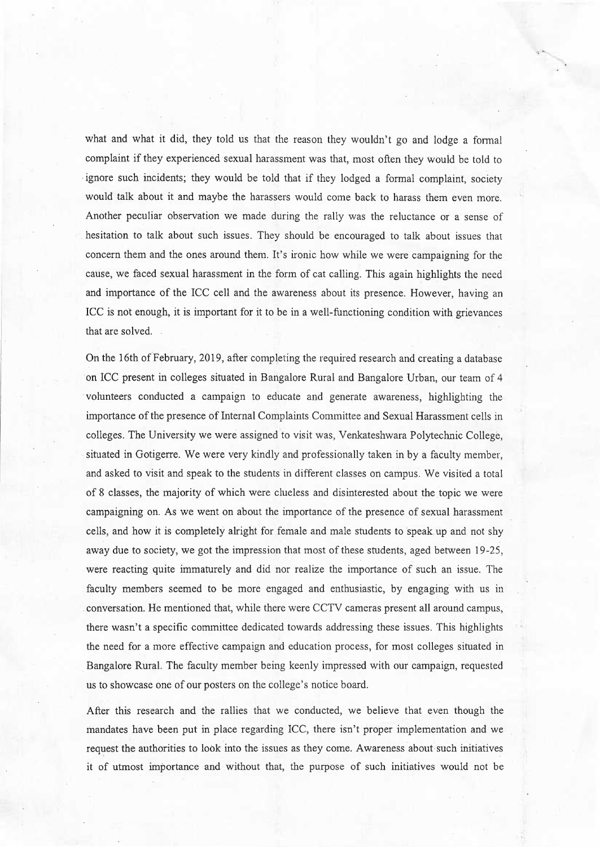what and what it did, they told us that the reason they wouldn't go and lodge a formal complaint if they experienced sexual harassment was that, most often they would be told to ignore such incidents; they would be told that if they lodged a formal complaint, society would talk about it and maybe the harassers would come back to harass them even more. Another peculiar observation we made during the rally was the reluctance or a sense of . hesitation to talk about such issues. They should be encouraged to talk about issues that concern them and the ones around them. It's ironic how while we were campaigning for the cause, we faced sexual harassment in the form of cat calling. This again highlights the need and importance of the ICC cell and the awareness about its presence. However, having an ICC is not enough, it is important for it to be in a well-functioning condition with grievances that are solved.

On the 16th ofFebruary, 2019, after completing the required research and creating a database on ICC present in colleges situated in Bangalore Rural and Bangalore Urban, our team of 4 · volunteers conducted a campaign to educate and generate awareness, highlighting the importance of the presence of Internal Complaints Committee and Sexual Harassment cells in colleges. The University we were assigned to visit was, Venkateshwara Polytechnic College, situated in Gotigerre. We were very kindly and professionally taken in by a faculty member, and asked to visit and speak to the students in different classes on campus. We visited a total of 8 classes, the majority of which were clueless and disinterested about the topic we were campaigning on. As we went on about the importance of the presence of sexual harassment cells, and how it is completely alright for female and male students to speak up and not shy away due to society, we got the impression that most of these students, aged between 19-25, were reacting quite immaturely and did nor realize the importance of such an issue. The faculty members seemed to be more engaged and enthusiastic, by engaging with us in . conversation. He mentioned that, while there were CCTV cameras present all around campus, there wasn't a specific committee dedicated towards addressing these issues. This highlights the need for a more effective campaign and education process, for most colleges situated in . Bangalore Rural. The faculty member being keenly impressed with our campaign, requested us to showcase one of our posters on the college's notice board.

After this research and the rallies that we conducted, we believe that even though the mandates have been put in place regarding ICC, there isn't proper implementation and we request the authorities to look into the issues as they come. Awareness about such initiatives it of utmost importance and without that, the purpose of such initiatives would not be